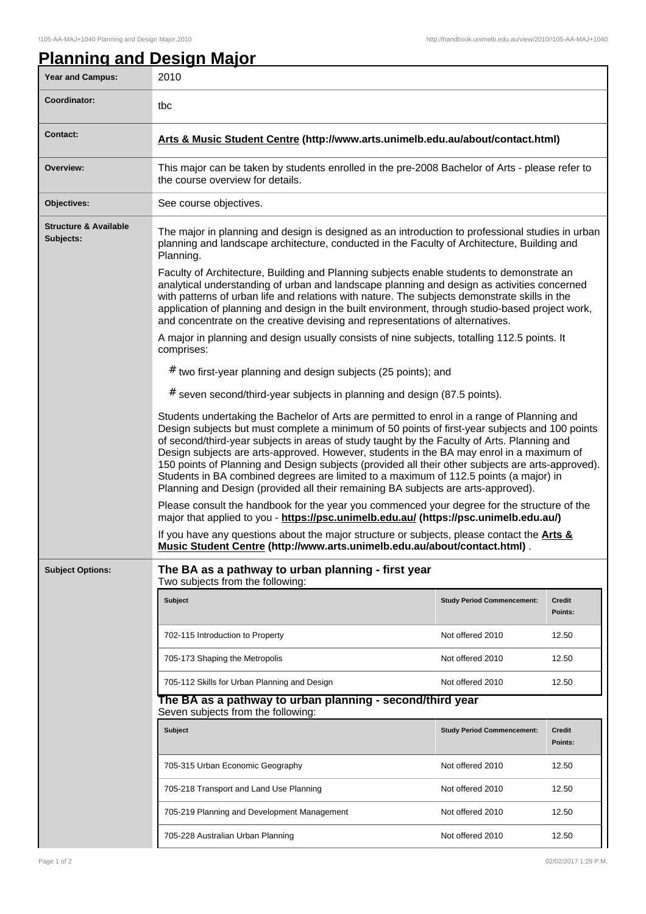## **Planning and Design Major** Year and Campus: 2010 **Coordinator:** the **Contact: Arts & Music Student Centre (http://www.arts.unimelb.edu.au/about/contact.html) Overview:** This major can be taken by students enrolled in the pre-2008 Bachelor of Arts - please refer to the course overview for details. **Objectives:** See course objectives. **Structure & Available Subjects:** The major in planning and design is designed as an introduction to professional studies in urban planning and landscape architecture, conducted in the Faculty of Architecture, Building and Planning. Faculty of Architecture, Building and Planning subjects enable students to demonstrate an analytical understanding of urban and landscape planning and design as activities concerned with patterns of urban life and relations with nature. The subjects demonstrate skills in the application of planning and design in the built environment, through studio-based project work, and concentrate on the creative devising and representations of alternatives. A major in planning and design usually consists of nine subjects, totalling 112.5 points. It comprises: # two first-year planning and design subjects (25 points); and # seven second/third-year subjects in planning and design (87.5 points). Students undertaking the Bachelor of Arts are permitted to enrol in a range of Planning and Design subjects but must complete a minimum of 50 points of first-year subjects and 100 points of second/third-year subjects in areas of study taught by the Faculty of Arts. Planning and Design subjects are arts-approved. However, students in the BA may enrol in a maximum of 150 points of Planning and Design subjects (provided all their other subjects are arts-approved). Students in BA combined degrees are limited to a maximum of 112.5 points (a major) in Planning and Design (provided all their remaining BA subjects are arts-approved). Please consult the handbook for the year you commenced your degree for the structure of the major that applied to you - **https://psc.unimelb.edu.au/ (https://psc.unimelb.edu.au/)** If you have any questions about the major structure or subjects, please contact the **Arts & Music Student Centre (http://www.arts.unimelb.edu.au/about/contact.html)** . **Subject Options: The BA as a pathway to urban planning - first year** Two subjects from the following: **Subject Study Period Commencement: Credit Points:** 702-115 Introduction to Property Note of the Not offered 2010 12.50 705-173 Shaping the Metropolis **Not offered 2010** 12.50 705-112 Skills for Urban Planning and Design Notel Not offered 2010 12.50 **The BA as a pathway to urban planning - second/third year** Seven subjects from the following: **Subject Study Period Commencement: Credit Points:** 705-315 Urban Economic Geography Not offered 2010 12.50 705-218 Transport and Land Use Planning Not offered 2010 12.50 705-219 Planning and Development Management Not Not offered 2010 12.50 705-228 Australian Urban Planning Not offered 2010 12.50